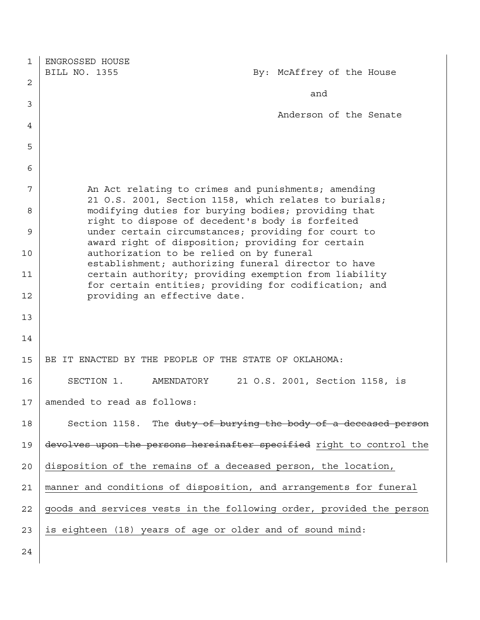| 1  | ENGROSSED HOUSE                                                                                                |
|----|----------------------------------------------------------------------------------------------------------------|
|    | BILL NO. 1355<br>By: McAffrey of the House                                                                     |
| 2  |                                                                                                                |
| 3  | and                                                                                                            |
|    | Anderson of the Senate                                                                                         |
| 4  |                                                                                                                |
| 5  |                                                                                                                |
| 6  |                                                                                                                |
| 7  | An Act relating to crimes and punishments; amending<br>21 O.S. 2001, Section 1158, which relates to burials;   |
| 8  | modifying duties for burying bodies; providing that<br>right to dispose of decedent's body is forfeited        |
| 9  | under certain circumstances; providing for court to<br>award right of disposition; providing for certain       |
| 10 | authorization to be relied on by funeral<br>establishment; authorizing funeral director to have                |
| 11 | certain authority; providing exemption from liability<br>for certain entities; providing for codification; and |
| 12 | providing an effective date.                                                                                   |
| 13 |                                                                                                                |
| 14 |                                                                                                                |
| 15 | BE IT ENACTED BY THE PEOPLE OF THE STATE OF OKLAHOMA:                                                          |
| 16 | SECTION 1.<br>AMENDATORY<br>21 O.S. 2001, Section 1158, is                                                     |
| 17 | amended to read as follows:                                                                                    |
| 18 | Section 1158. The duty of burying the body of a deceased person                                                |
| 19 | devolves upon the persons hereinafter specified right to control the                                           |
| 20 | disposition of the remains of a deceased person, the location,                                                 |
| 21 | manner and conditions of disposition, and arrangements for funeral                                             |
| 22 | goods and services vests in the following order, provided the person                                           |
| 23 | is eighteen (18) years of age or older and of sound mind:                                                      |
| 24 |                                                                                                                |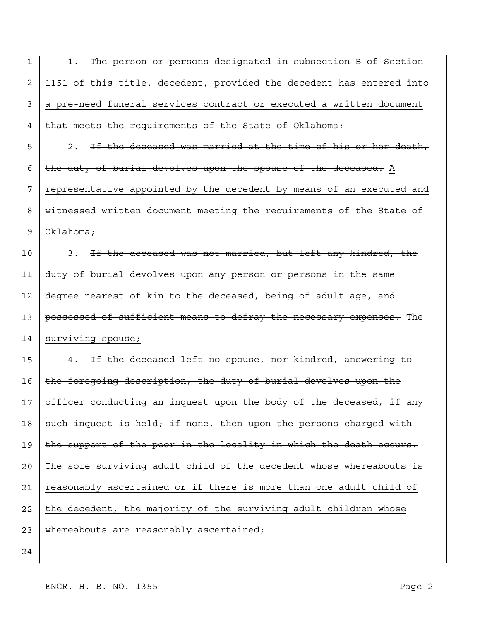| 1  | The person or persons designated in subsection B of Section<br>1.    |
|----|----------------------------------------------------------------------|
| 2  | 1151 of this title. decedent, provided the decedent has entered into |
| 3  | a pre-need funeral services contract or executed a written document  |
| 4  | that meets the requirements of the State of Oklahoma;                |
| 5  | If the deceased was married at the time of his or her death,<br>2.   |
| 6  | the duty of burial devolves upon the spouse of the deceased. A       |
| 7  | representative appointed by the decedent by means of an executed and |
| 8  | witnessed written document meeting the requirements of the State of  |
| 9  | Oklahoma;                                                            |
| 10 | 3. If the deceased was not married, but left any kindred, the        |
| 11 | duty of burial devolves upon any person or persons in the same       |
| 12 | degree nearest of kin to the deceased, being of adult age, and       |
| 13 | possessed of sufficient means to defray the necessary expenses. The  |
| 14 | surviving spouse;                                                    |
| 15 | If the deceased left no spouse, nor kindred, answering to<br>4.      |
| 16 | the foregoing description, the duty of burial devolves upon the      |
| 17 | officer conducting an inquest upon the body of the deceased, if any  |
| 18 | such inquest is held; if none, then upon the persons charged with    |
| 19 | the support of the poor in the locality in which the death occurs.   |
| 20 | The sole surviving adult child of the decedent whose whereabouts is  |
| 21 | reasonably ascertained or if there is more than one adult child of   |
| 22 | the decedent, the majority of the surviving adult children whose     |
| 23 | whereabouts are reasonably ascertained;                              |
| 24 |                                                                      |

ENGR. H. B. NO. 1355 Page 2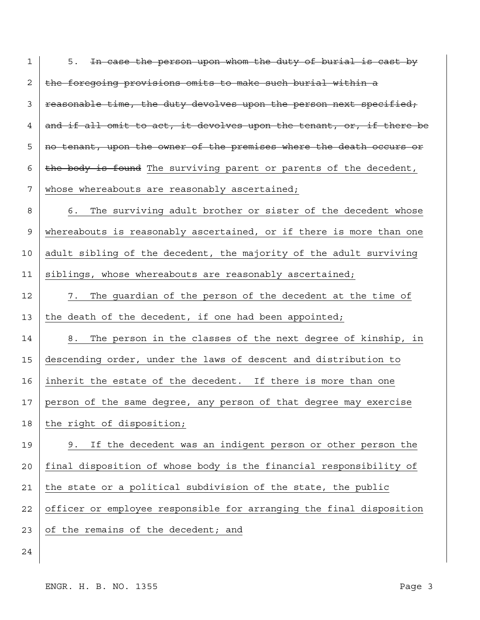| 1  | 5. In case the person upon whom the duty of burial is cast by        |
|----|----------------------------------------------------------------------|
| 2  | the foregoing provisions omits to make such burial within a          |
| 3  | reasonable time, the duty devolves upon the person next specified,   |
| 4  | and if all omit to act, it devolves upon the tenant, or, if there be |
| 5  | no tenant, upon the owner of the premises where the death occurs or  |
| 6  | the body is found The surviving parent or parents of the decedent,   |
| 7  | whose whereabouts are reasonably ascertained;                        |
| 8  | The surviving adult brother or sister of the decedent whose<br>6.    |
| 9  | whereabouts is reasonably ascertained, or if there is more than one  |
| 10 | adult sibling of the decedent, the majority of the adult surviving   |
| 11 | siblings, whose whereabouts are reasonably ascertained;              |
| 12 | The guardian of the person of the decedent at the time of<br>7.      |
| 13 | the death of the decedent, if one had been appointed;                |
| 14 | The person in the classes of the next degree of kinship, in<br>8.    |
| 15 | descending order, under the laws of descent and distribution to      |
| 16 | inherit the estate of the decedent. If there is more than one        |
| 17 | person of the same degree, any person of that degree may exercise    |
| 18 |                                                                      |
|    | the right of disposition;                                            |
| 19 | If the decedent was an indigent person or other person the<br>9.     |
| 20 | final disposition of whose body is the financial responsibility of   |
| 21 | the state or a political subdivision of the state, the public        |
| 22 | officer or employee responsible for arranging the final disposition  |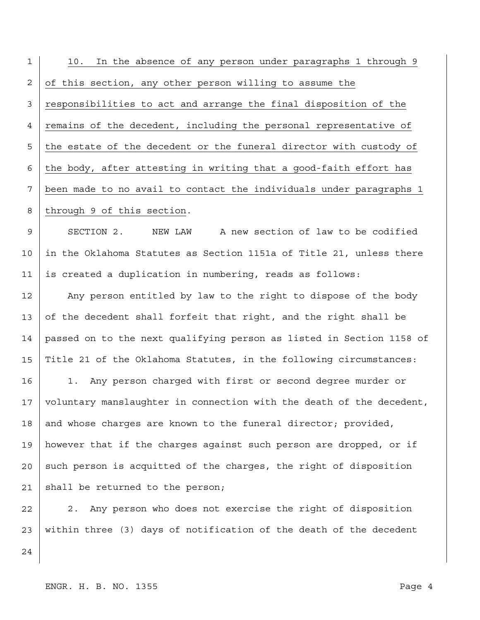1 2 3 4 5 6 7 8 9 10 11 12 13 14 15 16 17 18 19 20 21 22 10. In the absence of any person under paragraphs 1 through 9 of this section, any other person willing to assume the responsibilities to act and arrange the final disposition of the remains of the decedent, including the personal representative of the estate of the decedent or the funeral director with custody of the body, after attesting in writing that a good-faith effort has been made to no avail to contact the individuals under paragraphs 1 through 9 of this section. SECTION 2. NEW LAW A new section of law to be codified in the Oklahoma Statutes as Section 1151a of Title 21, unless there is created a duplication in numbering, reads as follows: Any person entitled by law to the right to dispose of the body of the decedent shall forfeit that right, and the right shall be passed on to the next qualifying person as listed in Section 1158 of Title 21 of the Oklahoma Statutes, in the following circumstances: 1. Any person charged with first or second degree murder or voluntary manslaughter in connection with the death of the decedent, and whose charges are known to the funeral director; provided, however that if the charges against such person are dropped, or if such person is acquitted of the charges, the right of disposition shall be returned to the person; 2. Any person who does not exercise the right of disposition

23 within three (3) days of notification of the death of the decedent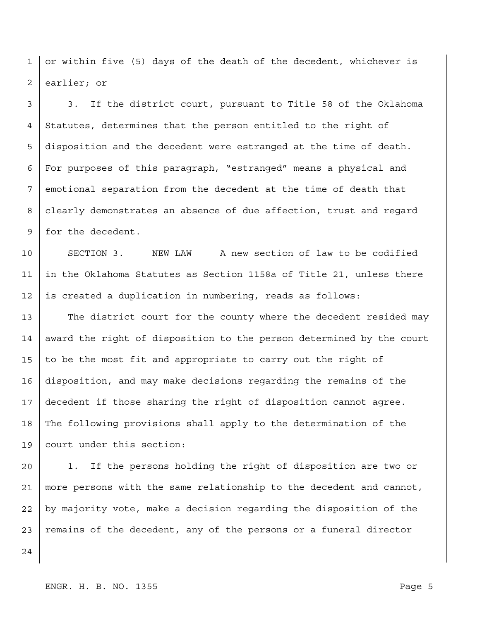1 2 or within five (5) days of the death of the decedent, whichever is earlier; or

3 4 5 6 7 8 9 3. If the district court, pursuant to Title 58 of the Oklahoma Statutes, determines that the person entitled to the right of disposition and the decedent were estranged at the time of death. For purposes of this paragraph, "estranged" means a physical and emotional separation from the decedent at the time of death that clearly demonstrates an absence of due affection, trust and regard for the decedent.

10 11 12 SECTION 3. NEW LAW A new section of law to be codified in the Oklahoma Statutes as Section 1158a of Title 21, unless there is created a duplication in numbering, reads as follows:

13 14 15 16 17 18 19 The district court for the county where the decedent resided may award the right of disposition to the person determined by the court to be the most fit and appropriate to carry out the right of disposition, and may make decisions regarding the remains of the decedent if those sharing the right of disposition cannot agree. The following provisions shall apply to the determination of the court under this section:

20 21 22 23 1. If the persons holding the right of disposition are two or more persons with the same relationship to the decedent and cannot, by majority vote, make a decision regarding the disposition of the remains of the decedent, any of the persons or a funeral director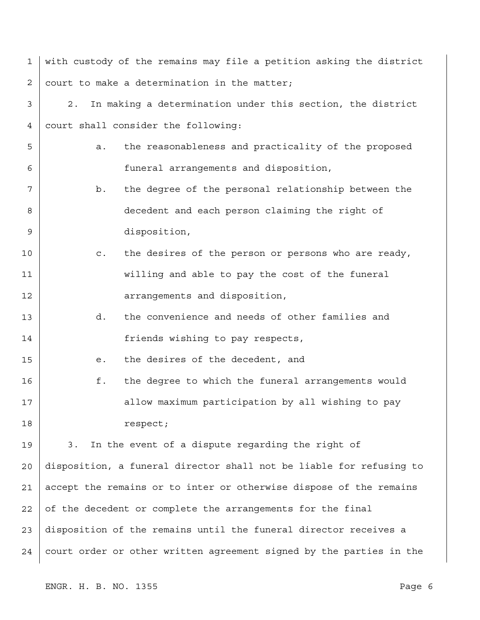| 1  | with custody of the remains may file a petition asking the district   |
|----|-----------------------------------------------------------------------|
| 2  | court to make a determination in the matter;                          |
| 3  | In making a determination under this section, the district<br>2.      |
| 4  | court shall consider the following:                                   |
| 5  | the reasonableness and practicality of the proposed<br>a.             |
| 6  | funeral arrangements and disposition,                                 |
| 7  | the degree of the personal relationship between the<br>b.             |
| 8  | decedent and each person claiming the right of                        |
| 9  | disposition,                                                          |
| 10 | the desires of the person or persons who are ready,<br>$\mathsf{C}$ . |
| 11 | willing and able to pay the cost of the funeral                       |
| 12 | arrangements and disposition,                                         |
| 13 | the convenience and needs of other families and<br>d.                 |
| 14 | friends wishing to pay respects,                                      |
| 15 | the desires of the decedent, and<br>е.                                |
| 16 | f.<br>the degree to which the funeral arrangements would              |
| 17 | allow maximum participation by all wishing to pay                     |
| 18 | respect;                                                              |
| 19 | In the event of a dispute regarding the right of<br>3.                |
| 20 | disposition, a funeral director shall not be liable for refusing to   |
| 21 | accept the remains or to inter or otherwise dispose of the remains    |
| 22 | of the decedent or complete the arrangements for the final            |
| 23 | disposition of the remains until the funeral director receives a      |
| 24 | court order or other written agreement signed by the parties in the   |

ENGR. H. B. NO. 1355 Page 6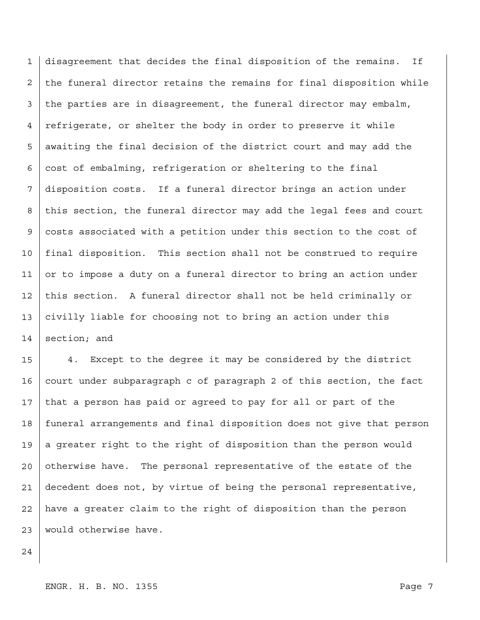1 2 3 4 5 6 7 8 9 10 11 12 13 14 disagreement that decides the final disposition of the remains. If the funeral director retains the remains for final disposition while the parties are in disagreement, the funeral director may embalm, refrigerate, or shelter the body in order to preserve it while awaiting the final decision of the district court and may add the cost of embalming, refrigeration or sheltering to the final disposition costs. If a funeral director brings an action under this section, the funeral director may add the legal fees and court costs associated with a petition under this section to the cost of final disposition. This section shall not be construed to require or to impose a duty on a funeral director to bring an action under this section. A funeral director shall not be held criminally or civilly liable for choosing not to bring an action under this section; and

15 16 17 18 19 20 21 22 23 4. Except to the degree it may be considered by the district court under subparagraph c of paragraph 2 of this section, the fact that a person has paid or agreed to pay for all or part of the funeral arrangements and final disposition does not give that person a greater right to the right of disposition than the person would otherwise have. The personal representative of the estate of the decedent does not, by virtue of being the personal representative, have a greater claim to the right of disposition than the person would otherwise have.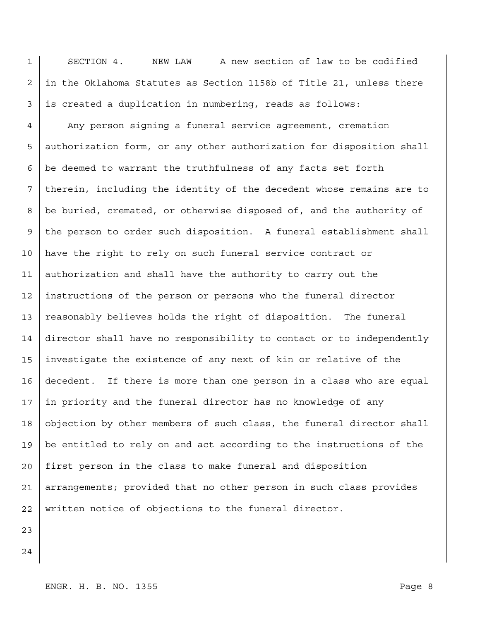1 2 3 SECTION 4. NEW LAW A new section of law to be codified in the Oklahoma Statutes as Section 1158b of Title 21, unless there is created a duplication in numbering, reads as follows:

4 5 6 7 8 9 10 11 12 13 14 15 16 17 18 19 20 21 22 Any person signing a funeral service agreement, cremation authorization form, or any other authorization for disposition shall be deemed to warrant the truthfulness of any facts set forth therein, including the identity of the decedent whose remains are to be buried, cremated, or otherwise disposed of, and the authority of the person to order such disposition. A funeral establishment shall have the right to rely on such funeral service contract or authorization and shall have the authority to carry out the instructions of the person or persons who the funeral director reasonably believes holds the right of disposition. The funeral director shall have no responsibility to contact or to independently investigate the existence of any next of kin or relative of the decedent. If there is more than one person in a class who are equal in priority and the funeral director has no knowledge of any objection by other members of such class, the funeral director shall be entitled to rely on and act according to the instructions of the first person in the class to make funeral and disposition arrangements; provided that no other person in such class provides written notice of objections to the funeral director.

- 23
- 24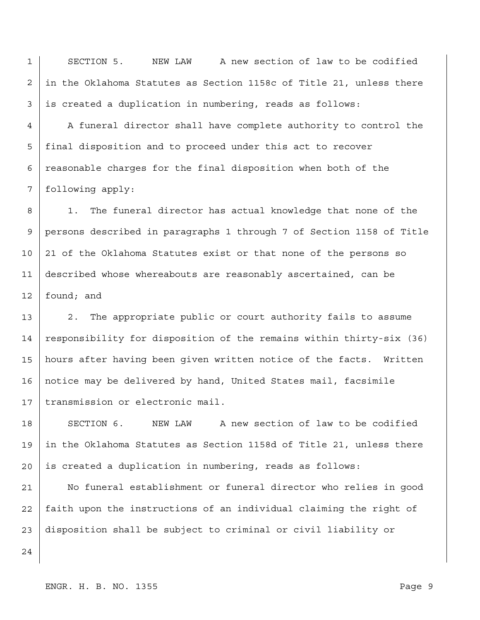1 2 3 SECTION 5. NEW LAW A new section of law to be codified in the Oklahoma Statutes as Section 1158c of Title 21, unless there is created a duplication in numbering, reads as follows:

4 5 6 7 A funeral director shall have complete authority to control the final disposition and to proceed under this act to recover reasonable charges for the final disposition when both of the following apply:

8 9 10 11 12 1. The funeral director has actual knowledge that none of the persons described in paragraphs 1 through 7 of Section 1158 of Title 21 of the Oklahoma Statutes exist or that none of the persons so described whose whereabouts are reasonably ascertained, can be found; and

13 14 15 16 17 2. The appropriate public or court authority fails to assume responsibility for disposition of the remains within thirty-six (36) hours after having been given written notice of the facts. Written notice may be delivered by hand, United States mail, facsimile transmission or electronic mail.

18 19 20 SECTION 6. NEW LAW A new section of law to be codified in the Oklahoma Statutes as Section 1158d of Title 21, unless there is created a duplication in numbering, reads as follows:

21 22 23 No funeral establishment or funeral director who relies in good faith upon the instructions of an individual claiming the right of disposition shall be subject to criminal or civil liability or